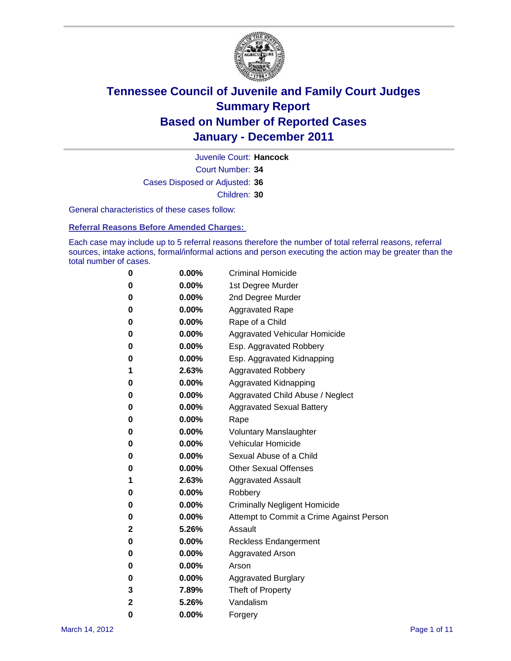

Court Number: **34** Juvenile Court: **Hancock** Cases Disposed or Adjusted: **36** Children: **30**

General characteristics of these cases follow:

**Referral Reasons Before Amended Charges:** 

Each case may include up to 5 referral reasons therefore the number of total referral reasons, referral sources, intake actions, formal/informal actions and person executing the action may be greater than the total number of cases.

| 0 | $0.00\%$ | <b>Criminal Homicide</b>                 |
|---|----------|------------------------------------------|
| 0 | $0.00\%$ | 1st Degree Murder                        |
| 0 | $0.00\%$ | 2nd Degree Murder                        |
| 0 | $0.00\%$ | <b>Aggravated Rape</b>                   |
| 0 | $0.00\%$ | Rape of a Child                          |
| 0 | $0.00\%$ | Aggravated Vehicular Homicide            |
| 0 | $0.00\%$ | Esp. Aggravated Robbery                  |
| 0 | $0.00\%$ | Esp. Aggravated Kidnapping               |
| 1 | 2.63%    | <b>Aggravated Robbery</b>                |
| 0 | $0.00\%$ | Aggravated Kidnapping                    |
| 0 | $0.00\%$ | Aggravated Child Abuse / Neglect         |
| 0 | $0.00\%$ | <b>Aggravated Sexual Battery</b>         |
| 0 | 0.00%    | Rape                                     |
| 0 | $0.00\%$ | <b>Voluntary Manslaughter</b>            |
| 0 | $0.00\%$ | Vehicular Homicide                       |
| 0 | $0.00\%$ | Sexual Abuse of a Child                  |
| 0 | $0.00\%$ | <b>Other Sexual Offenses</b>             |
| 1 | 2.63%    | <b>Aggravated Assault</b>                |
| 0 | $0.00\%$ | Robbery                                  |
| 0 | $0.00\%$ | <b>Criminally Negligent Homicide</b>     |
| 0 | $0.00\%$ | Attempt to Commit a Crime Against Person |
| 2 | 5.26%    | Assault                                  |
| 0 | $0.00\%$ | <b>Reckless Endangerment</b>             |
| 0 | 0.00%    | <b>Aggravated Arson</b>                  |
| 0 | $0.00\%$ | Arson                                    |
| 0 | $0.00\%$ | <b>Aggravated Burglary</b>               |
| 3 | 7.89%    | Theft of Property                        |
| 2 | 5.26%    | Vandalism                                |
| 0 | 0.00%    | Forgery                                  |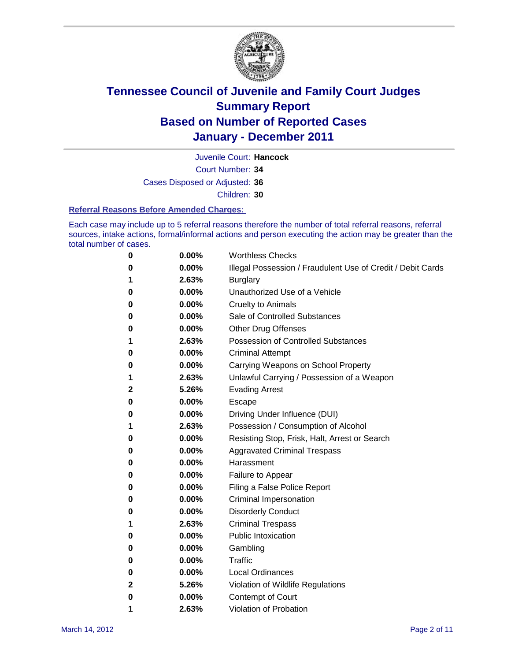

Court Number: **34** Juvenile Court: **Hancock**

Cases Disposed or Adjusted: **36**

Children: **30**

#### **Referral Reasons Before Amended Charges:**

Each case may include up to 5 referral reasons therefore the number of total referral reasons, referral sources, intake actions, formal/informal actions and person executing the action may be greater than the total number of cases.

| 0            | 0.00%    | <b>Worthless Checks</b>                                     |
|--------------|----------|-------------------------------------------------------------|
| 0            | 0.00%    | Illegal Possession / Fraudulent Use of Credit / Debit Cards |
| 1            | 2.63%    | <b>Burglary</b>                                             |
| 0            | 0.00%    | Unauthorized Use of a Vehicle                               |
| 0            | $0.00\%$ | <b>Cruelty to Animals</b>                                   |
| 0            | $0.00\%$ | Sale of Controlled Substances                               |
| 0            | 0.00%    | <b>Other Drug Offenses</b>                                  |
| 1            | 2.63%    | <b>Possession of Controlled Substances</b>                  |
| 0            | 0.00%    | <b>Criminal Attempt</b>                                     |
| 0            | 0.00%    | Carrying Weapons on School Property                         |
| 1            | 2.63%    | Unlawful Carrying / Possession of a Weapon                  |
| $\mathbf{2}$ | 5.26%    | <b>Evading Arrest</b>                                       |
| 0            | 0.00%    | Escape                                                      |
| 0            | $0.00\%$ | Driving Under Influence (DUI)                               |
| 1            | 2.63%    | Possession / Consumption of Alcohol                         |
| 0            | 0.00%    | Resisting Stop, Frisk, Halt, Arrest or Search               |
| 0            | 0.00%    | <b>Aggravated Criminal Trespass</b>                         |
| 0            | 0.00%    | Harassment                                                  |
| 0            | 0.00%    | Failure to Appear                                           |
| 0            | 0.00%    | Filing a False Police Report                                |
| 0            | 0.00%    | Criminal Impersonation                                      |
| 0            | 0.00%    | <b>Disorderly Conduct</b>                                   |
| 1            | 2.63%    | <b>Criminal Trespass</b>                                    |
| 0            | 0.00%    | <b>Public Intoxication</b>                                  |
| 0            | $0.00\%$ | Gambling                                                    |
| 0            | 0.00%    | Traffic                                                     |
| 0            | $0.00\%$ | <b>Local Ordinances</b>                                     |
| 2            | 5.26%    | Violation of Wildlife Regulations                           |
| 0            | $0.00\%$ | Contempt of Court                                           |
| 1            | 2.63%    | Violation of Probation                                      |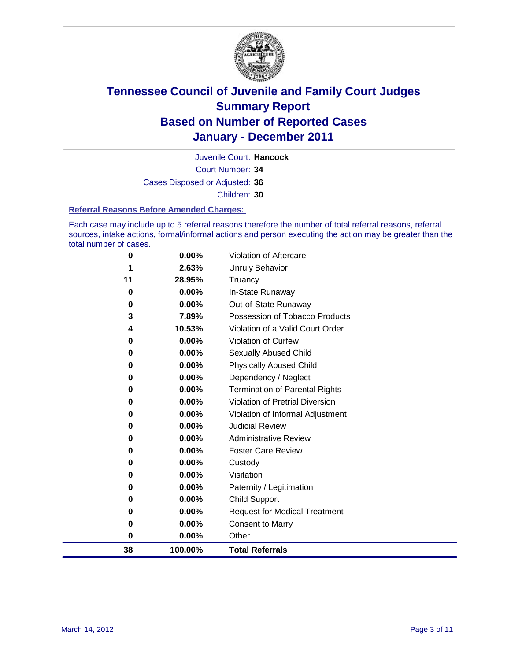

Court Number: **34** Juvenile Court: **Hancock** Cases Disposed or Adjusted: **36** Children: **30**

#### **Referral Reasons Before Amended Charges:**

Each case may include up to 5 referral reasons therefore the number of total referral reasons, referral sources, intake actions, formal/informal actions and person executing the action may be greater than the total number of cases.

| 38       | 100.00%  | <b>Total Referrals</b>                 |
|----------|----------|----------------------------------------|
| 0        | 0.00%    | Other                                  |
| 0        | 0.00%    | <b>Consent to Marry</b>                |
| 0        | 0.00%    | <b>Request for Medical Treatment</b>   |
| 0        | 0.00%    | <b>Child Support</b>                   |
| 0        | 0.00%    | Paternity / Legitimation               |
| 0        | 0.00%    | Visitation                             |
| 0        | 0.00%    | Custody                                |
| 0        | 0.00%    | <b>Foster Care Review</b>              |
| 0        | 0.00%    | <b>Administrative Review</b>           |
| 0        | $0.00\%$ | <b>Judicial Review</b>                 |
| 0        | $0.00\%$ | Violation of Informal Adjustment       |
| 0        | $0.00\%$ | <b>Violation of Pretrial Diversion</b> |
| 0        | $0.00\%$ | Termination of Parental Rights         |
| 0        | $0.00\%$ | Dependency / Neglect                   |
| $\bf{0}$ | $0.00\%$ | <b>Physically Abused Child</b>         |
| 0        | 0.00%    | Sexually Abused Child                  |
| 0        | 0.00%    | Violation of Curfew                    |
| 4        | 10.53%   | Violation of a Valid Court Order       |
| 3        | 7.89%    | Possession of Tobacco Products         |
| 0        | $0.00\%$ | Out-of-State Runaway                   |
| $\bf{0}$ | $0.00\%$ | In-State Runaway                       |
| 11       | 28.95%   | Truancy                                |
|          | 2.63%    | <b>Unruly Behavior</b>                 |
| 0        | $0.00\%$ | <b>Violation of Aftercare</b>          |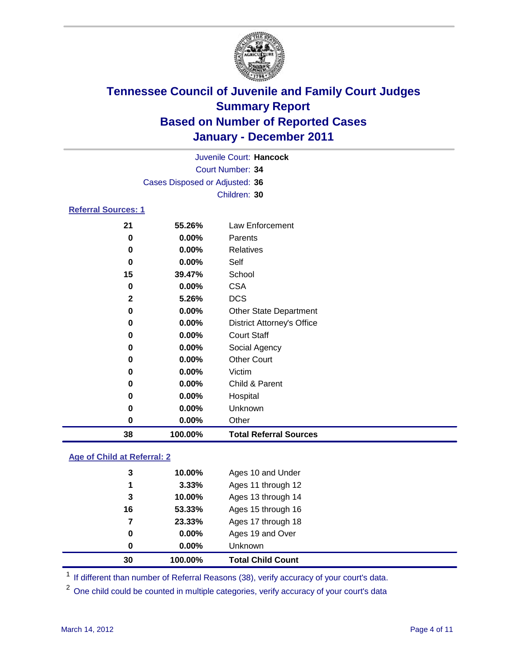

|          | Juvenile Court: Hancock           |
|----------|-----------------------------------|
|          | Court Number: 34                  |
|          |                                   |
|          | Children: 30                      |
|          |                                   |
| 55.26%   | Law Enforcement                   |
| $0.00\%$ | Parents                           |
| $0.00\%$ | <b>Relatives</b>                  |
| $0.00\%$ | Self                              |
| 39.47%   | School                            |
| $0.00\%$ | <b>CSA</b>                        |
| 5.26%    | <b>DCS</b>                        |
| $0.00\%$ | <b>Other State Department</b>     |
| $0.00\%$ | <b>District Attorney's Office</b> |
| $0.00\%$ | <b>Court Staff</b>                |
| $0.00\%$ | Social Agency                     |
| $0.00\%$ | <b>Other Court</b>                |
| 0.00%    | Victim                            |
|          | Cases Disposed or Adjusted: 36    |

| 38 | 100.00%  | <b>Total Referral Sources</b> |  |
|----|----------|-------------------------------|--|
| 0  | $0.00\%$ | Other                         |  |
| 0  | $0.00\%$ | Unknown                       |  |
| 0  | $0.00\%$ | Hospital                      |  |
| 0  | $0.00\%$ | Child & Parent                |  |

### **Age of Child at Referral: 2**

| 0  | $0.00\%$ | Unknown            |
|----|----------|--------------------|
| 0  | $0.00\%$ | Ages 19 and Over   |
| 7  | 23.33%   | Ages 17 through 18 |
| 16 | 53.33%   | Ages 15 through 16 |
| 3  | 10.00%   | Ages 13 through 14 |
| 1  | 3.33%    | Ages 11 through 12 |
| 3  | 10.00%   | Ages 10 and Under  |
|    |          |                    |

<sup>1</sup> If different than number of Referral Reasons (38), verify accuracy of your court's data.

<sup>2</sup> One child could be counted in multiple categories, verify accuracy of your court's data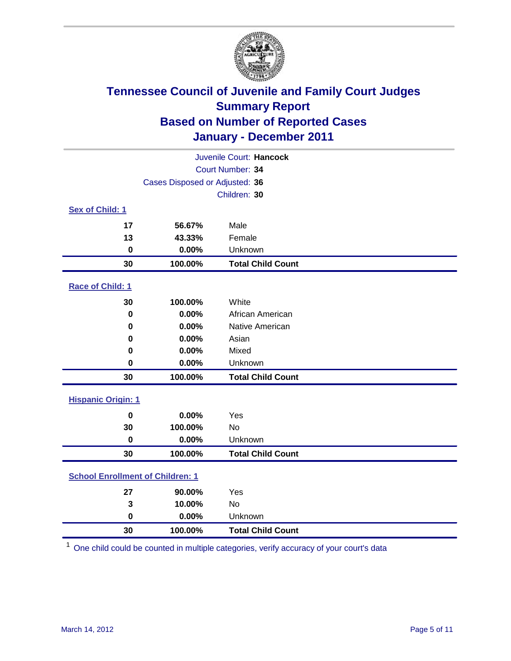

| Juvenile Court: Hancock                 |                                |                          |  |  |  |
|-----------------------------------------|--------------------------------|--------------------------|--|--|--|
| Court Number: 34                        |                                |                          |  |  |  |
|                                         | Cases Disposed or Adjusted: 36 |                          |  |  |  |
|                                         | Children: 30                   |                          |  |  |  |
| Sex of Child: 1                         |                                |                          |  |  |  |
| 17                                      | 56.67%                         | Male                     |  |  |  |
| 13                                      | 43.33%                         | Female                   |  |  |  |
| $\mathbf 0$                             | 0.00%                          | Unknown                  |  |  |  |
| 30                                      | 100.00%                        | <b>Total Child Count</b> |  |  |  |
| Race of Child: 1                        |                                |                          |  |  |  |
| 30                                      | 100.00%                        | White                    |  |  |  |
| $\mathbf 0$                             | 0.00%                          | African American         |  |  |  |
| 0                                       | 0.00%                          | Native American          |  |  |  |
| 0                                       | 0.00%                          | Asian                    |  |  |  |
| 0                                       | 0.00%                          | Mixed                    |  |  |  |
| $\mathbf 0$                             | 0.00%                          | Unknown                  |  |  |  |
| 30                                      | 100.00%                        | <b>Total Child Count</b> |  |  |  |
| <b>Hispanic Origin: 1</b>               |                                |                          |  |  |  |
| $\bf{0}$                                | 0.00%                          | Yes                      |  |  |  |
| 30                                      | 100.00%                        | No                       |  |  |  |
| $\mathbf 0$                             | 0.00%                          | Unknown                  |  |  |  |
| 30                                      | 100.00%                        | <b>Total Child Count</b> |  |  |  |
| <b>School Enrollment of Children: 1</b> |                                |                          |  |  |  |
| 27                                      | 90.00%                         | Yes                      |  |  |  |
| 3                                       | 10.00%                         | No                       |  |  |  |
| $\mathbf 0$                             | 0.00%                          | Unknown                  |  |  |  |
| 30                                      | 100.00%                        | <b>Total Child Count</b> |  |  |  |

One child could be counted in multiple categories, verify accuracy of your court's data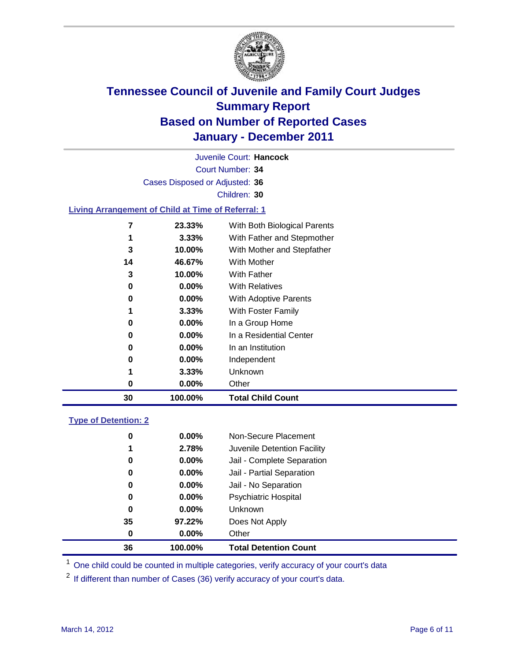

Court Number: **34** Juvenile Court: **Hancock** Cases Disposed or Adjusted: **36** Children: **30 Living Arrangement of Child at Time of Referral: 1 23.33%** With Both Biological Parents

| 30 |   | 100.00%  | <b>Total Child Count</b>             |
|----|---|----------|--------------------------------------|
|    | 0 | $0.00\%$ | Other                                |
|    | 1 | 3.33%    | Unknown                              |
|    | 0 | $0.00\%$ | Independent                          |
|    | 0 | $0.00\%$ | In an Institution                    |
|    | 0 | $0.00\%$ | In a Residential Center              |
|    | 0 | $0.00\%$ | In a Group Home                      |
|    | 1 | 3.33%    | <b>With Foster Family</b>            |
|    | 0 | $0.00\%$ | With Adoptive Parents                |
|    | 0 | $0.00\%$ | <b>With Relatives</b>                |
|    | 3 | 10.00%   | With Father                          |
| 14 |   | 46.67%   | With Mother                          |
|    | 3 | 10.00%   | With Mother and Stepfather           |
|    | 1 | 3.33%    | With Father and Stepmother           |
|    |   | 23.33%   | <i>vvith Both Biological Parents</i> |

### **Type of Detention: 2**

| 36       | 100.00%  | <b>Total Detention Count</b> |
|----------|----------|------------------------------|
| 0        | $0.00\%$ | Other                        |
| 35       | 97.22%   | Does Not Apply               |
| 0        | $0.00\%$ | <b>Unknown</b>               |
| 0        | 0.00%    | <b>Psychiatric Hospital</b>  |
| $\bf{0}$ | 0.00%    | Jail - No Separation         |
| 0        | $0.00\%$ | Jail - Partial Separation    |
| 0        | $0.00\%$ | Jail - Complete Separation   |
| 1        | 2.78%    | Juvenile Detention Facility  |
| 0        | $0.00\%$ | Non-Secure Placement         |
|          |          |                              |

<sup>1</sup> One child could be counted in multiple categories, verify accuracy of your court's data

<sup>2</sup> If different than number of Cases (36) verify accuracy of your court's data.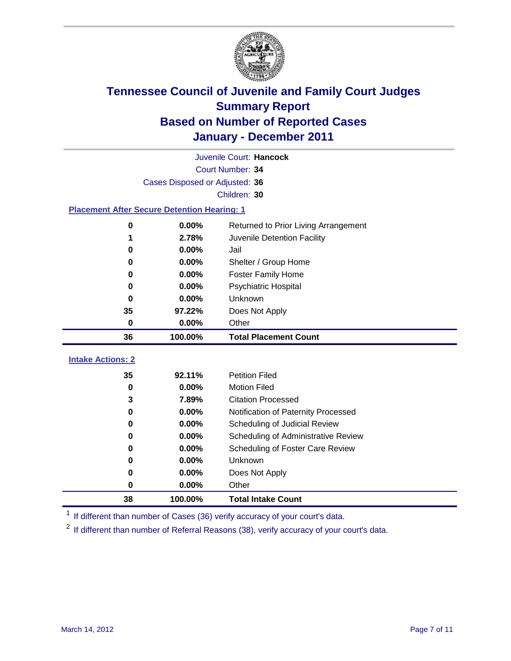

|                                                    | Juvenile Court: Hancock        |                                                  |  |  |  |  |
|----------------------------------------------------|--------------------------------|--------------------------------------------------|--|--|--|--|
| Court Number: 34                                   |                                |                                                  |  |  |  |  |
|                                                    | Cases Disposed or Adjusted: 36 |                                                  |  |  |  |  |
|                                                    | Children: 30                   |                                                  |  |  |  |  |
| <b>Placement After Secure Detention Hearing: 1</b> |                                |                                                  |  |  |  |  |
| 0                                                  | 0.00%                          | Returned to Prior Living Arrangement             |  |  |  |  |
| 1                                                  | 2.78%                          | Juvenile Detention Facility                      |  |  |  |  |
| 0                                                  | 0.00%                          | Jail                                             |  |  |  |  |
| 0                                                  | 0.00%                          | Shelter / Group Home                             |  |  |  |  |
| 0                                                  | 0.00%                          | <b>Foster Family Home</b>                        |  |  |  |  |
| $\bf{0}$                                           | 0.00%                          | Psychiatric Hospital                             |  |  |  |  |
| 0                                                  | 0.00%                          | Unknown                                          |  |  |  |  |
| 35                                                 | 97.22%                         | Does Not Apply                                   |  |  |  |  |
| $\mathbf 0$                                        | 0.00%                          | Other                                            |  |  |  |  |
|                                                    |                                |                                                  |  |  |  |  |
| 36                                                 | 100.00%                        | <b>Total Placement Count</b>                     |  |  |  |  |
|                                                    |                                |                                                  |  |  |  |  |
| <b>Intake Actions: 2</b>                           |                                |                                                  |  |  |  |  |
| 35                                                 | 92.11%                         | <b>Petition Filed</b>                            |  |  |  |  |
| $\mathbf 0$<br>3                                   | 0.00%<br>7.89%                 | <b>Motion Filed</b><br><b>Citation Processed</b> |  |  |  |  |
| 0                                                  | 0.00%                          | Notification of Paternity Processed              |  |  |  |  |
| $\mathbf 0$                                        | 0.00%                          | Scheduling of Judicial Review                    |  |  |  |  |
| $\bf{0}$                                           | 0.00%                          | Scheduling of Administrative Review              |  |  |  |  |
| 0                                                  | 0.00%                          | Scheduling of Foster Care Review                 |  |  |  |  |
| 0                                                  | 0.00%                          | Unknown                                          |  |  |  |  |
| 0                                                  | 0.00%                          | Does Not Apply                                   |  |  |  |  |
| $\pmb{0}$                                          | 0.00%                          | Other                                            |  |  |  |  |

<sup>1</sup> If different than number of Cases (36) verify accuracy of your court's data.

<sup>2</sup> If different than number of Referral Reasons (38), verify accuracy of your court's data.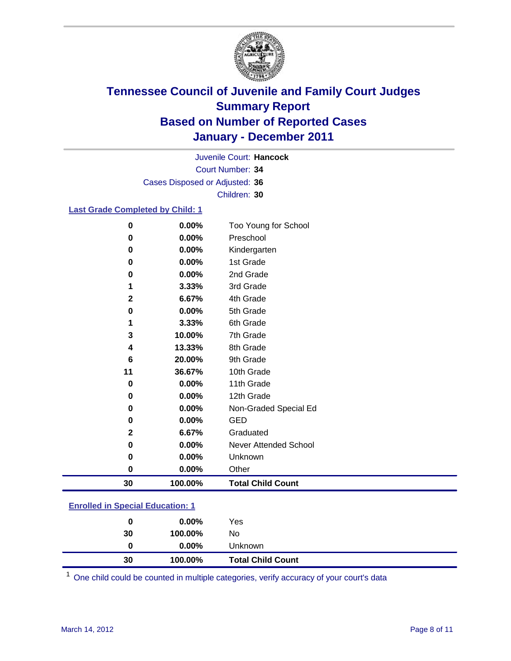

Court Number: **34** Juvenile Court: **Hancock** Cases Disposed or Adjusted: **36** Children: **30**

### **Last Grade Completed by Child: 1**

| 0           | 0.00%    | Too Young for School     |
|-------------|----------|--------------------------|
| 0           | $0.00\%$ | Preschool                |
| 0           | 0.00%    | Kindergarten             |
| 0           | 0.00%    | 1st Grade                |
| 0           | 0.00%    | 2nd Grade                |
| 1           | 3.33%    | 3rd Grade                |
| $\mathbf 2$ | 6.67%    | 4th Grade                |
| 0           | 0.00%    | 5th Grade                |
| 1           | 3.33%    | 6th Grade                |
| 3           | 10.00%   | 7th Grade                |
| 4           | 13.33%   | 8th Grade                |
| 6           | 20.00%   | 9th Grade                |
| 11          | 36.67%   | 10th Grade               |
| 0           | 0.00%    | 11th Grade               |
| 0           | 0.00%    | 12th Grade               |
| 0           | $0.00\%$ | Non-Graded Special Ed    |
| 0           | 0.00%    | <b>GED</b>               |
| $\mathbf 2$ | 6.67%    | Graduated                |
| $\pmb{0}$   | $0.00\%$ | Never Attended School    |
| 0           | 0.00%    | Unknown                  |
| $\bf{0}$    | $0.00\%$ | Other                    |
| 30          | 100.00%  | <b>Total Child Count</b> |
|             |          |                          |

### **Enrolled in Special Education: 1**

| 30 | 100.00%  | No                       |  |
|----|----------|--------------------------|--|
|    | $0.00\%$ | Unknown                  |  |
| 30 | 100.00%  | <b>Total Child Count</b> |  |

One child could be counted in multiple categories, verify accuracy of your court's data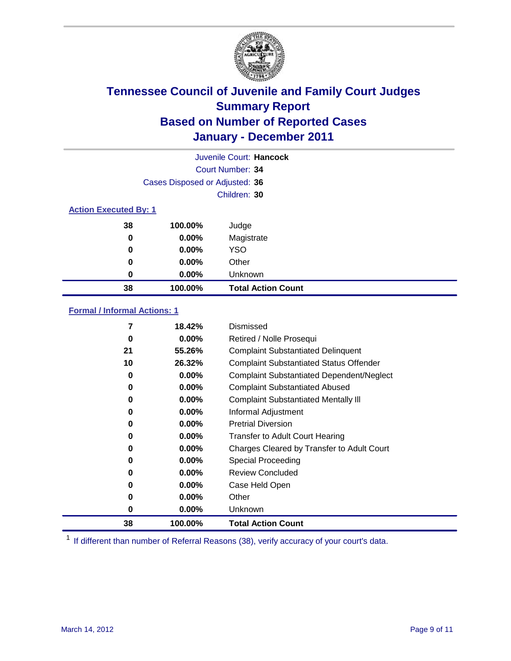

|                              |                                | Juvenile Court: Hancock   |
|------------------------------|--------------------------------|---------------------------|
|                              |                                | Court Number: 34          |
|                              | Cases Disposed or Adjusted: 36 |                           |
|                              |                                | Children: 30              |
| <b>Action Executed By: 1</b> |                                |                           |
| 38                           | 100.00%                        | Judge                     |
| 0                            | $0.00\%$                       | Magistrate                |
| 0                            | $0.00\%$                       | <b>YSO</b>                |
| 0                            | $0.00\%$                       | Other                     |
| 0                            | $0.00\%$                       | Unknown                   |
| 38                           | 100.00%                        | <b>Total Action Count</b> |

### **Formal / Informal Actions: 1**

| 7  | 18.42%   | Dismissed                                        |
|----|----------|--------------------------------------------------|
| 0  | $0.00\%$ | Retired / Nolle Prosequi                         |
| 21 | 55.26%   | <b>Complaint Substantiated Delinquent</b>        |
| 10 | 26.32%   | <b>Complaint Substantiated Status Offender</b>   |
| 0  | 0.00%    | <b>Complaint Substantiated Dependent/Neglect</b> |
| 0  | $0.00\%$ | <b>Complaint Substantiated Abused</b>            |
| 0  | $0.00\%$ | <b>Complaint Substantiated Mentally III</b>      |
| 0  | $0.00\%$ | Informal Adjustment                              |
| 0  | $0.00\%$ | <b>Pretrial Diversion</b>                        |
| 0  | $0.00\%$ | <b>Transfer to Adult Court Hearing</b>           |
| 0  | 0.00%    | Charges Cleared by Transfer to Adult Court       |
| 0  | $0.00\%$ | Special Proceeding                               |
| 0  | 0.00%    | <b>Review Concluded</b>                          |
| 0  | $0.00\%$ | Case Held Open                                   |
| 0  | $0.00\%$ | Other                                            |
| 0  | $0.00\%$ | Unknown                                          |
| 38 | 100.00%  | <b>Total Action Count</b>                        |

<sup>1</sup> If different than number of Referral Reasons (38), verify accuracy of your court's data.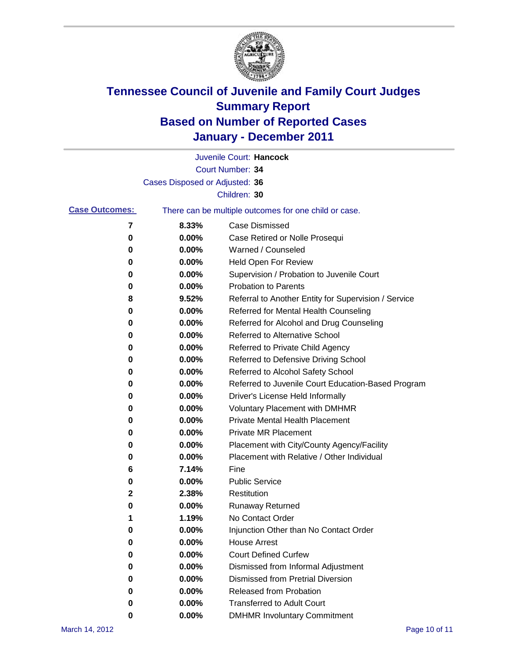

|                       |                                | Juvenile Court: Hancock                               |
|-----------------------|--------------------------------|-------------------------------------------------------|
|                       |                                | Court Number: 34                                      |
|                       | Cases Disposed or Adjusted: 36 |                                                       |
|                       |                                | Children: 30                                          |
| <b>Case Outcomes:</b> |                                | There can be multiple outcomes for one child or case. |
| 7                     | 8.33%                          | <b>Case Dismissed</b>                                 |
| 0                     | 0.00%                          | Case Retired or Nolle Prosequi                        |
| 0                     | 0.00%                          | Warned / Counseled                                    |
| 0                     | 0.00%                          | <b>Held Open For Review</b>                           |
| 0                     | 0.00%                          | Supervision / Probation to Juvenile Court             |
| 0                     | 0.00%                          | <b>Probation to Parents</b>                           |
| 8                     | 9.52%                          | Referral to Another Entity for Supervision / Service  |
| 0                     | 0.00%                          | Referred for Mental Health Counseling                 |
| 0                     | 0.00%                          | Referred for Alcohol and Drug Counseling              |
| 0                     | 0.00%                          | <b>Referred to Alternative School</b>                 |
| 0                     | 0.00%                          | Referred to Private Child Agency                      |
| 0                     | 0.00%                          | Referred to Defensive Driving School                  |
| 0                     | 0.00%                          | Referred to Alcohol Safety School                     |
| 0                     | 0.00%                          | Referred to Juvenile Court Education-Based Program    |
| 0                     | 0.00%                          | Driver's License Held Informally                      |
| 0                     | 0.00%                          | <b>Voluntary Placement with DMHMR</b>                 |
| 0                     | 0.00%                          | <b>Private Mental Health Placement</b>                |
| 0                     | 0.00%                          | <b>Private MR Placement</b>                           |
| 0                     | 0.00%                          | Placement with City/County Agency/Facility            |
| 0                     | 0.00%                          | Placement with Relative / Other Individual            |
| 6                     | 7.14%                          | Fine                                                  |
| 0                     | 0.00%                          | <b>Public Service</b>                                 |
| 2                     | 2.38%                          | Restitution                                           |
| 0                     | 0.00%                          | <b>Runaway Returned</b>                               |
| 1                     | 1.19%                          | No Contact Order                                      |
| 0                     | 0.00%                          | Injunction Other than No Contact Order                |
| 0                     | 0.00%                          | <b>House Arrest</b>                                   |
| 0                     | 0.00%                          | <b>Court Defined Curfew</b>                           |
| 0                     | 0.00%                          | Dismissed from Informal Adjustment                    |
| 0                     | 0.00%                          | <b>Dismissed from Pretrial Diversion</b>              |
| 0                     | 0.00%                          | Released from Probation                               |
| 0                     | 0.00%                          | <b>Transferred to Adult Court</b>                     |
| 0                     | $0.00\%$                       | <b>DMHMR Involuntary Commitment</b>                   |